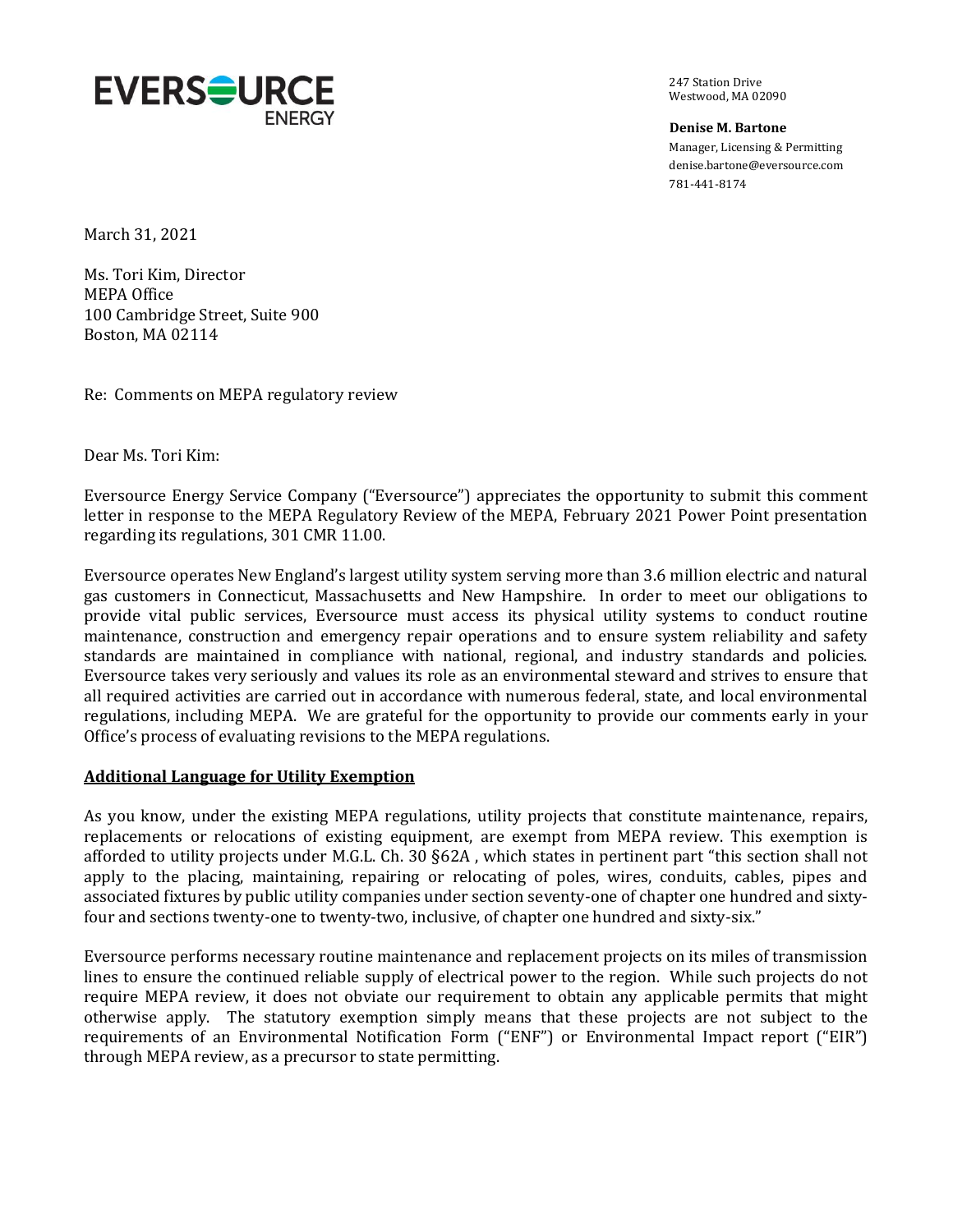

247 Station Drive Westwood, MA 02090

**Denise M. Bartone** Manager, Licensing & Permitting denise.bartone@eversource.com 781-441-8174

March 31, 2021

Ms. Tori Kim, Director MEPA Office 100 Cambridge Street, Suite 900 Boston, MA 02114

Re: Comments on MEPA regulatory review

Dear Ms. Tori Kim:

Eversource Energy Service Company ("Eversource") appreciates the opportunity to submit this comment letter in response to the MEPA Regulatory Review of the MEPA, February 2021 Power Point presentation regarding its regulations, 301 CMR 11.00.

Eversource operates New England's largest utility system serving more than 3.6 million electric and natural gas customers in Connecticut, Massachusetts and New Hampshire. In order to meet our obligations to provide vital public services, Eversource must access its physical utility systems to conduct routine maintenance, construction and emergency repair operations and to ensure system reliability and safety standards are maintained in compliance with national, regional, and industry standards and policies. Eversource takes very seriously and values its role as an environmental steward and strives to ensure that all required activities are carried out in accordance with numerous federal, state, and local environmental regulations, including MEPA. We are grateful for the opportunity to provide our comments early in your Office's process of evaluating revisions to the MEPA regulations.

### **Additional Language for Utility Exemption**

As you know, under the existing MEPA regulations, utility projects that constitute maintenance, repairs, replacements or relocations of existing equipment, are exempt from MEPA review. This exemption is afforded to utility projects under M.G.L. Ch. 30 §62A , which states in pertinent part "this section shall not apply to the placing, maintaining, repairing or relocating of poles, wires, conduits, cables, pipes and associated fixtures by public utility companies under section seventy-one of chapter one hundred and sixtyfour and sections twenty-one to twenty-two, inclusive, of chapter one hundred and sixty-six."

Eversource performs necessary routine maintenance and replacement projects on its miles of transmission lines to ensure the continued reliable supply of electrical power to the region. While such projects do not require MEPA review, it does not obviate our requirement to obtain any applicable permits that might otherwise apply. The statutory exemption simply means that these projects are not subject to the requirements of an Environmental Notification Form ("ENF") or Environmental Impact report ("EIR") through MEPA review, as a precursor to state permitting.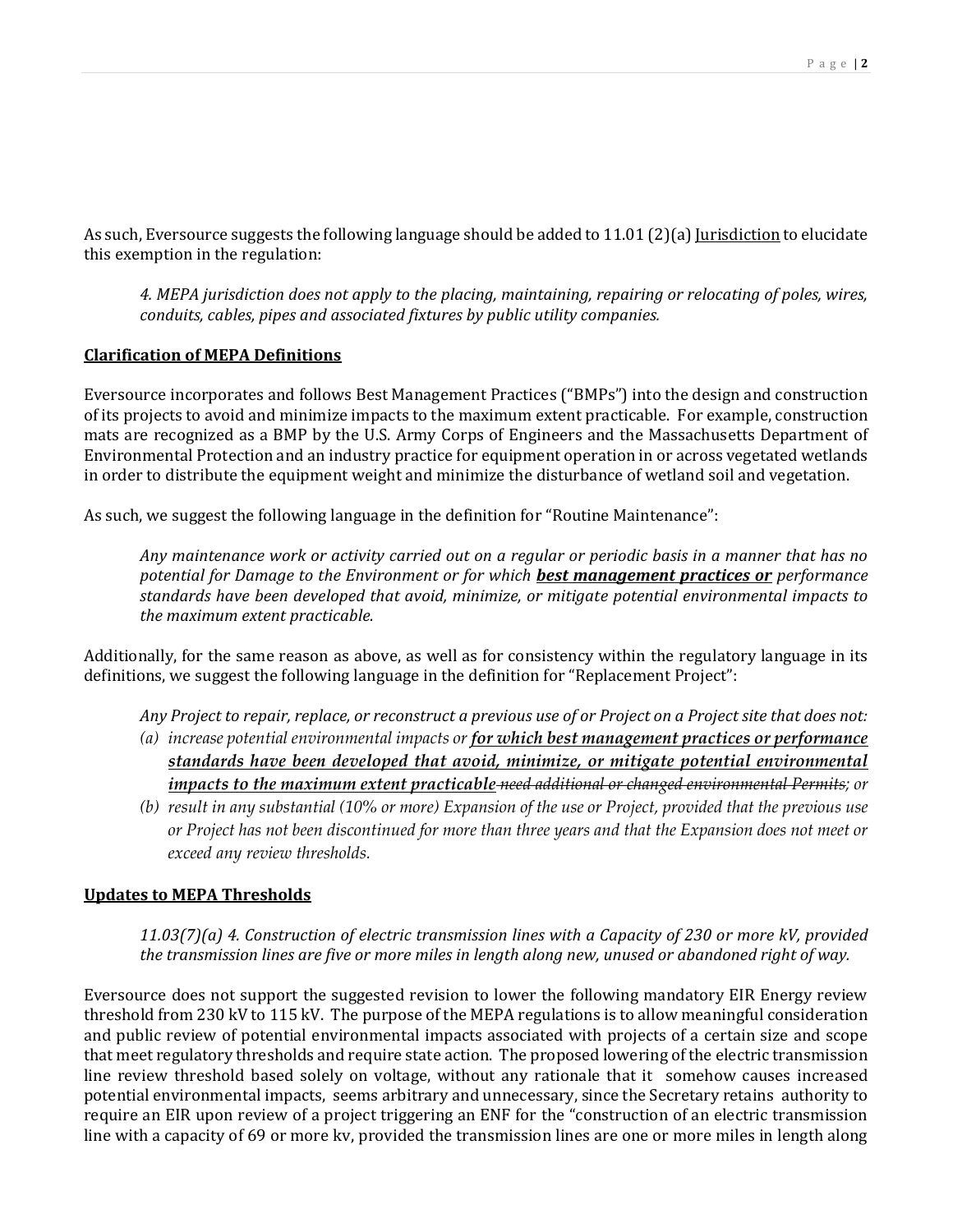As such, Eversource suggests the following language should be added to 11.01 (2)(a) <u>Jurisdiction</u> to elucidate this exemption in the regulation:

*4. MEPA jurisdiction does not apply to the placing, maintaining, repairing or relocating of poles, wires, conduits, cables, pipes and associated fixtures by public utility companies.*

### **Clarification of MEPA Definitions**

Eversource incorporates and follows Best Management Practices ("BMPs") into the design and construction of its projects to avoid and minimize impacts to the maximum extent practicable. For example, construction mats are recognized as a BMP by the U.S. Army Corps of Engineers and the Massachusetts Department of Environmental Protection and an industry practice for equipment operation in or across vegetated wetlands in order to distribute the equipment weight and minimize the disturbance of wetland soil and vegetation.

As such, we suggest the following language in the definition for "Routine Maintenance":

*Any maintenance work or activity carried out on a regular or periodic basis in a manner that has no potential for Damage to the Environment or for which best management practices or performance standards have been developed that avoid, minimize, or mitigate potential environmental impacts to the maximum extent practicable.*

Additionally, for the same reason as above, as well as for consistency within the regulatory language in its definitions, we suggest the following language in the definition for "Replacement Project":

- *Any Project to repair, replace, or reconstruct a previous use of or Project on a Project site that does not:*
- *(a) increase potential environmental impacts or for which best management practices or performance standards have been developed that avoid, minimize, or mitigate potential environmental impacts to the maximum extent practicable need additional or changed environmental Permits; or*
- *(b) result in any substantial (10% or more) Expansion of the use or Project, provided that the previous use or Project has not been discontinued for more than three years and that the Expansion does not meet or exceed any review thresholds.*

### **Updates to MEPA Thresholds**

*11.03(7)(a) 4. Construction of electric transmission lines with a Capacity of 230 or more kV, provided the transmission lines are five or more miles in length along new, unused or abandoned right of way.*

Eversource does not support the suggested revision to lower the following mandatory EIR Energy review threshold from 230 kV to 115 kV. The purpose of the MEPA regulations is to allow meaningful consideration and public review of potential environmental impacts associated with projects of a certain size and scope that meet regulatory thresholds and require state action. The proposed lowering of the electric transmission line review threshold based solely on voltage, without any rationale that it somehow causes increased potential environmental impacts, seems arbitrary and unnecessary, since the Secretary retains authority to require an EIR upon review of a project triggering an ENF for the "construction of an electric transmission line with a capacity of 69 or more kv, provided the transmission lines are one or more miles in length along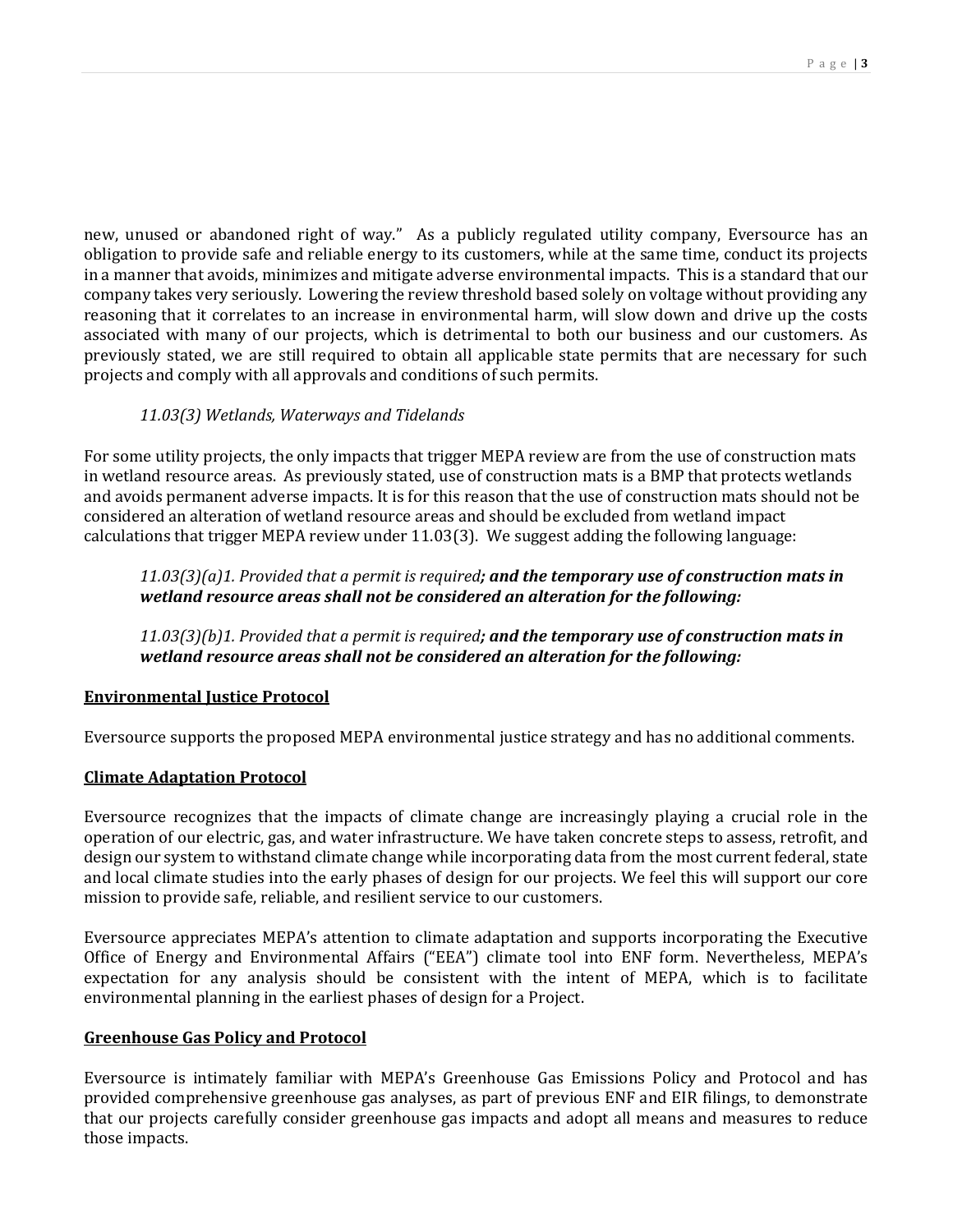new, unused or abandoned right of way." As a publicly regulated utility company, Eversource has an obligation to provide safe and reliable energy to its customers, while at the same time, conduct its projects in a manner that avoids, minimizes and mitigate adverse environmental impacts. This is a standard that our company takes very seriously. Lowering the review threshold based solely on voltage without providing any reasoning that it correlates to an increase in environmental harm, will slow down and drive up the costs associated with many of our projects, which is detrimental to both our business and our customers. As previously stated, we are still required to obtain all applicable state permits that are necessary for such projects and comply with all approvals and conditions of such permits.

# *11.03(3) Wetlands, Waterways and Tidelands*

For some utility projects, the only impacts that trigger MEPA review are from the use of construction mats in wetland resource areas. As previously stated, use of construction mats is a BMP that protects wetlands and avoids permanent adverse impacts. It is for this reason that the use of construction mats should not be considered an alteration of wetland resource areas and should be excluded from wetland impact calculations that trigger MEPA review under 11.03(3). We suggest adding the following language:

# *11.03(3)(a)1. Provided that a permit is required; and the temporary use of construction mats in wetland resource areas shall not be considered an alteration for the following:*

*11.03(3)(b)1. Provided that a permit is required; and the temporary use of construction mats in wetland resource areas shall not be considered an alteration for the following:*

# **Environmental Justice Protocol**

Eversource supports the proposed MEPA environmental justice strategy and has no additional comments.

# **Climate Adaptation Protocol**

Eversource recognizes that the impacts of climate change are increasingly playing a crucial role in the operation of our electric, gas, and water infrastructure. We have taken concrete steps to assess, retrofit, and design our system to withstand climate change while incorporating data from the most current federal, state and local climate studies into the early phases of design for our projects. We feel this will support our core mission to provide safe, reliable, and resilient service to our customers.

Eversource appreciates MEPA's attention to climate adaptation and supports incorporating the Executive Office of Energy and Environmental Affairs ("EEA") climate tool into ENF form. Nevertheless, MEPA's expectation for any analysis should be consistent with the intent of MEPA, which is to facilitate environmental planning in the earliest phases of design for a Project.

### **Greenhouse Gas Policy and Protocol**

Eversource is intimately familiar with MEPA's Greenhouse Gas Emissions Policy and Protocol and has provided comprehensive greenhouse gas analyses, as part of previous ENF and EIR filings, to demonstrate that our projects carefully consider greenhouse gas impacts and adopt all means and measures to reduce those impacts.